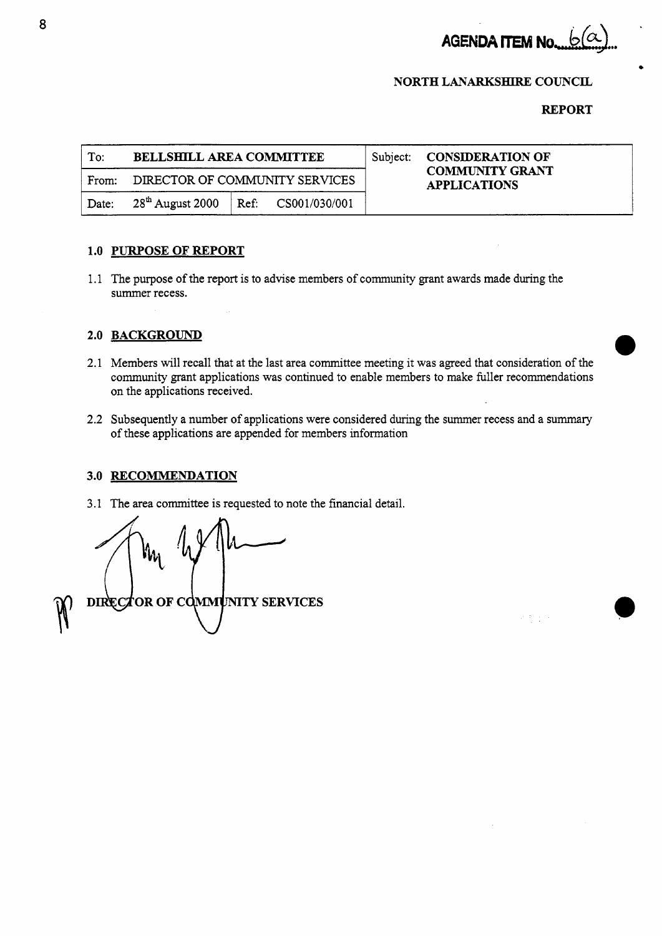

 $\mathcal{P}^{\mathcal{C}}(\mathcal{P}^{\mathcal{C}})$  and

# **NORTH LANARKSHIRE COUNCIL**

### **REPORT**

|       |                                                                           |          | <b>REPORT</b>                                 |
|-------|---------------------------------------------------------------------------|----------|-----------------------------------------------|
| To:   | <b>BELLSHILL AREA COMMITTEE</b>                                           | Subject: | <b>CONSIDERATION OF</b>                       |
| From: | DIRECTOR OF COMMUNITY SERVICES                                            |          | <b>COMMUNITY GRANT</b><br><b>APPLICATIONS</b> |
| Date: | $28^{\text{th}}$ August 2000<br>$\text{Ref: } \quad \text{CS}001/030/001$ |          |                                               |

### **1.0 PURPOSE OF REPORT**

1.1 The purpose of the report is to advise members of community grant awards made during the summer recess.

## **2.0 BACKGROUND**

- 2.1 Members will recall that at the last area committee meeting it was agreed that consideration of the community grant applications was continued to enable members to make fuller recommendations on the applications received.
- 2.2 Subsequently a number of applications were considered during the summer recess and a summary of these applications are appended for members information

### **3.0 RECOMMENDATION**

3.1 **The** area committee is requested to note the financial detail.

**DIRECTOR OF COMMUNITY SERVICES**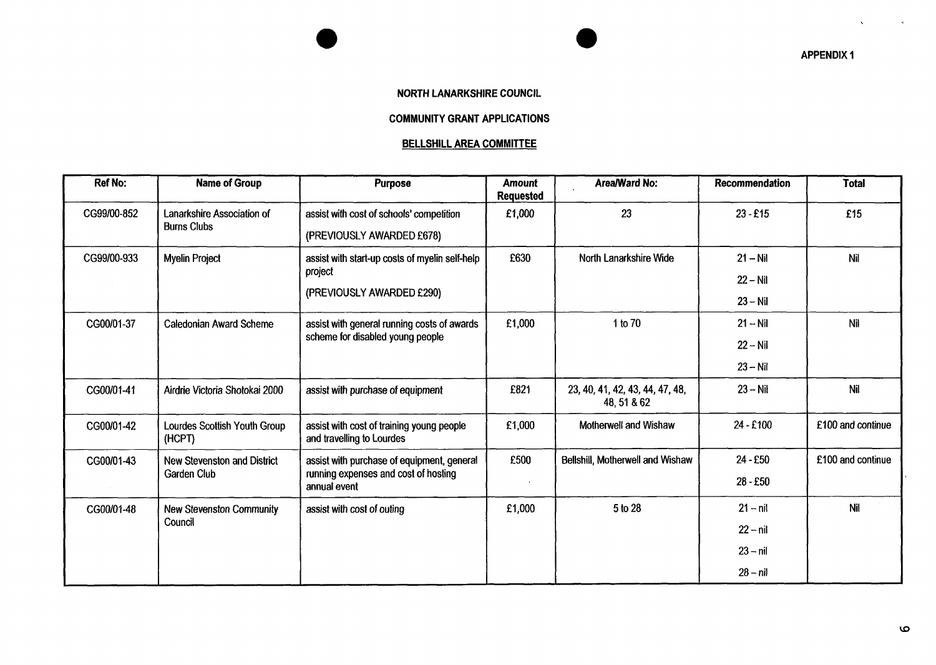**APPENDIX 1** 

 $\infty$ 

 $\lambda$ 

#### **NORTH LANARKSHIRE COUNCIL**

*0* 

### **COMMUNITY GRANT APPLICATIONS**

### **BELLSHILL AREA COMMITTEE**

| <b>Ref No:</b> | <b>Name of Group</b>                                     | Purpose                                                                                            | <b>Amount</b><br><b>Requested</b> | Area/Ward No:                                  | Recommendation | <b>Total</b>      |
|----------------|----------------------------------------------------------|----------------------------------------------------------------------------------------------------|-----------------------------------|------------------------------------------------|----------------|-------------------|
| CG99/00-852    | <b>Lanarkshire Association of</b><br><b>Burns Clubs</b>  | assist with cost of schools' competition                                                           | £1,000                            | 23                                             | $23 - £15$     | £15               |
|                |                                                          | (PREVIOUSLY AWARDED £678)                                                                          |                                   |                                                |                |                   |
| CG99/00-933    | <b>Myelin Project</b>                                    | assist with start-up costs of myelin self-help<br>project                                          | £630                              | North Lanarkshire Wide                         | $21 - Nil$     | Nil               |
|                |                                                          |                                                                                                    |                                   |                                                | $22 - Nil$     |                   |
|                |                                                          | (PREVIOUSLY AWARDED £290)                                                                          |                                   |                                                | $23 - Nil$     |                   |
| CG00/01-37     | <b>Caledonian Award Scheme</b>                           | assist with general running costs of awards<br>scheme for disabled young people                    | £1,000                            | 1 to 70                                        | $21 - Nil$     | Nil               |
|                |                                                          |                                                                                                    |                                   |                                                | $22 - Nil$     |                   |
|                |                                                          |                                                                                                    |                                   |                                                | $23 - Nil$     |                   |
| CG00/01-41     | Airdrie Victoria Shotokai 2000                           | assist with purchase of equipment                                                                  | £821                              | 23, 40, 41, 42, 43, 44, 47, 48,<br>48, 51 & 62 | $23 - Nil$     | Nil               |
| CG00/01-42     | Lourdes Scottish Youth Group<br>(HCPT)                   | assist with cost of training young people<br>and travelling to Lourdes                             | £1,000                            | Motherwell and Wishaw                          | 24 - £100      | £100 and continue |
| CG00/01-43     | <b>New Stevenston and District</b><br><b>Garden Club</b> | assist with purchase of equipment, general<br>running expenses and cost of hosting<br>annual event | £500                              | Bellshill, Motherwell and Wishaw               | 24 - £50       | £100 and continue |
|                |                                                          |                                                                                                    |                                   |                                                | 28 - £50       |                   |
| CG00/01-48     | <b>New Stevenston Community</b><br>Council               | assist with cost of outing                                                                         | £1,000                            | 5 to 28                                        | $21 - nil$     | Nil               |
|                |                                                          |                                                                                                    |                                   |                                                | $22 - nil$     |                   |
|                |                                                          |                                                                                                    |                                   |                                                | $23 - nil$     |                   |
|                |                                                          |                                                                                                    |                                   |                                                | $28 - nil$     |                   |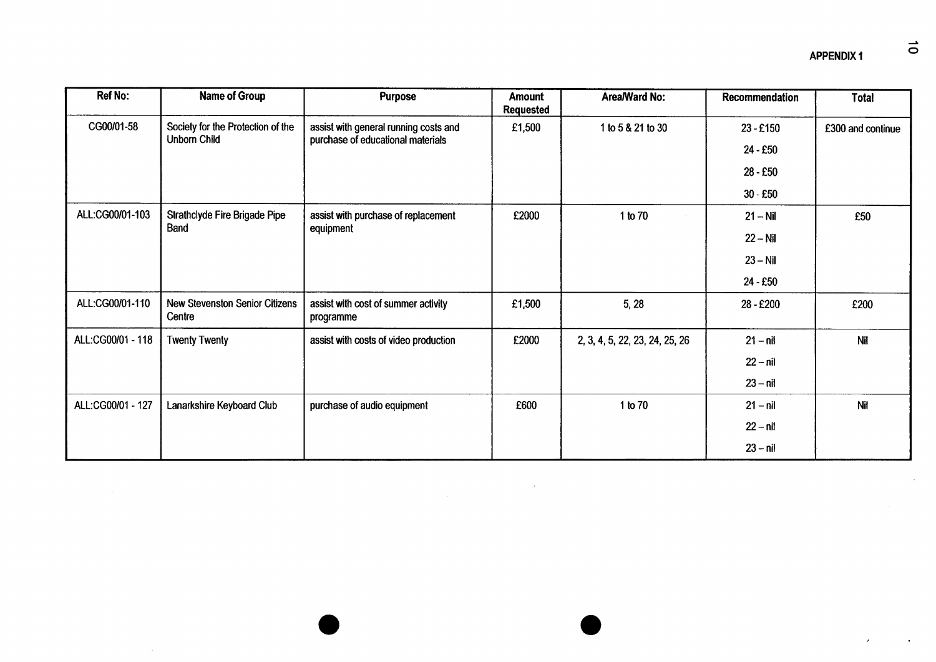| Ref No:           | Name of Group                                            | <b>Purpose</b>                                                             | Amount<br><b>Requested</b> | Area/Ward No:                  | Recommendation | <b>Total</b>      |
|-------------------|----------------------------------------------------------|----------------------------------------------------------------------------|----------------------------|--------------------------------|----------------|-------------------|
| CG00/01-58        | Society for the Protection of the<br><b>Unborn Child</b> | assist with general running costs and<br>purchase of educational materials | £1,500                     | 1 to 5 & 21 to 30              | 23 - £150      | £300 and continue |
|                   |                                                          |                                                                            |                            |                                | 24 - £50       |                   |
|                   |                                                          |                                                                            |                            |                                | $28 - £50$     |                   |
|                   |                                                          |                                                                            |                            |                                | $30 - £50$     |                   |
| ALL:CG00/01-103   | Strathclyde Fire Brigade Pipe<br>Band                    | assist with purchase of replacement<br>equipment                           | £2000                      | 1 to 70                        | $21 - Nil$     | £50               |
|                   |                                                          |                                                                            |                            |                                | $22 - Nil$     |                   |
|                   |                                                          |                                                                            |                            |                                | $23 - Nil$     |                   |
|                   |                                                          |                                                                            |                            |                                | 24 - £50       |                   |
| ALL:CG00/01-110   | <b>New Stevenston Senior Citizens</b><br>Centre          | assist with cost of summer activity<br>programme                           | £1,500                     | 5, 28                          | 28 - £200      | £200              |
| ALL:CG00/01 - 118 | <b>Twenty Twenty</b>                                     | assist with costs of video production                                      | £2000                      | 2, 3, 4, 5, 22, 23, 24, 25, 26 | $21 - nil$     | Nil               |
|                   |                                                          |                                                                            |                            |                                | $22 - nil$     |                   |
|                   |                                                          |                                                                            |                            |                                | $23 - nil$     |                   |
| ALL:CG00/01 - 127 | Lanarkshire Keyboard Club                                | purchase of audio equipment                                                | £600                       | 1 to 70                        | $21 - nil$     | Nil               |
|                   |                                                          |                                                                            |                            |                                | $22 - ni$      |                   |
|                   |                                                          |                                                                            |                            |                                | $23 - nil$     |                   |

 $\mathcal{L}^{\text{max}}_{\text{max}}$ 

 $\mathcal{A}$ 

 $\mathcal{A}^{\pm}$ 

 $\mathcal{F}$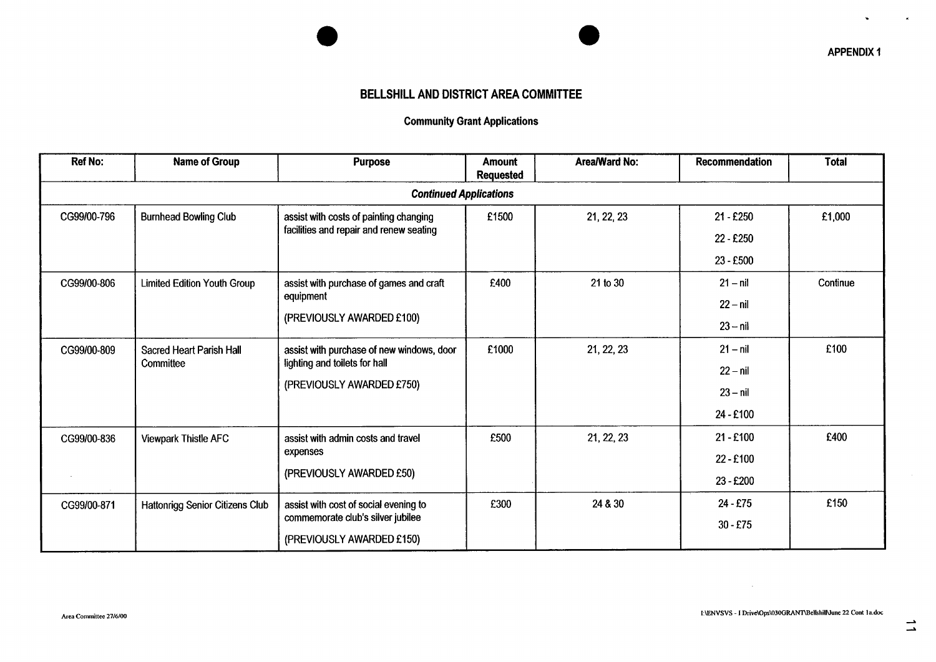# **BELLSHILL AND DISTRICT AREA COMMITTEE**

# Community Grant Applications

| <b>Ref No:</b>                | <b>Name of Group</b>                         | <b>Purpose</b>                                                                                          | <b>Amount</b><br><b>Requested</b> | Area/Ward No: | <b>Recommendation</b> | <b>Total</b> |  |  |
|-------------------------------|----------------------------------------------|---------------------------------------------------------------------------------------------------------|-----------------------------------|---------------|-----------------------|--------------|--|--|
| <b>Continued Applications</b> |                                              |                                                                                                         |                                   |               |                       |              |  |  |
| CG99/00-796                   | <b>Burnhead Bowling Club</b>                 | assist with costs of painting changing                                                                  | £1500                             | 21, 22, 23    | 21 - £250             | £1,000       |  |  |
|                               |                                              | facilities and repair and renew seating                                                                 |                                   |               | 22 - £250             |              |  |  |
|                               |                                              |                                                                                                         |                                   |               | 23 - £500             |              |  |  |
| CG99/00-806                   | <b>Limited Edition Youth Group</b>           | assist with purchase of games and craft<br>equipment<br>(PREVIOUSLY AWARDED £100)                       | £400                              | 21 to 30      | $21 - nil$            | Continue     |  |  |
|                               |                                              |                                                                                                         |                                   |               | $22 - nil$            |              |  |  |
|                               |                                              |                                                                                                         |                                   |               | $23 - nil$            |              |  |  |
| CG99/00-809                   | <b>Sacred Heart Parish Hall</b><br>Committee | assist with purchase of new windows, door<br>lighting and toilets for hall<br>(PREVIOUSLY AWARDED £750) | £1000                             | 21, 22, 23    | $21 - nil$            | £100         |  |  |
|                               |                                              |                                                                                                         |                                   |               | $22 - nil$            |              |  |  |
|                               |                                              |                                                                                                         |                                   |               | $23 - nil$            |              |  |  |
|                               |                                              |                                                                                                         |                                   |               | 24 - £100             |              |  |  |
| CG99/00-836                   | <b>Viewpark Thistle AFC</b>                  | assist with admin costs and travel<br>expenses<br>(PREVIOUSLY AWARDED £50)                              | £500                              | 21, 22, 23    | $21 - £100$           | £400         |  |  |
|                               |                                              |                                                                                                         |                                   |               | 22 - £100             |              |  |  |
|                               |                                              |                                                                                                         |                                   |               | 23 - £200             |              |  |  |
| CG99/00-871                   | Hattonrigg Senior Citizens Club              | assist with cost of social evening to                                                                   | £300                              | 24 & 30       | 24 - £75              | £150         |  |  |
|                               |                                              | commemorate club's silver jubilee                                                                       |                                   |               | $30 - £75$            |              |  |  |
|                               |                                              | (PREVIOUSLY AWARDED £150)                                                                               |                                   |               |                       |              |  |  |

 $\sim$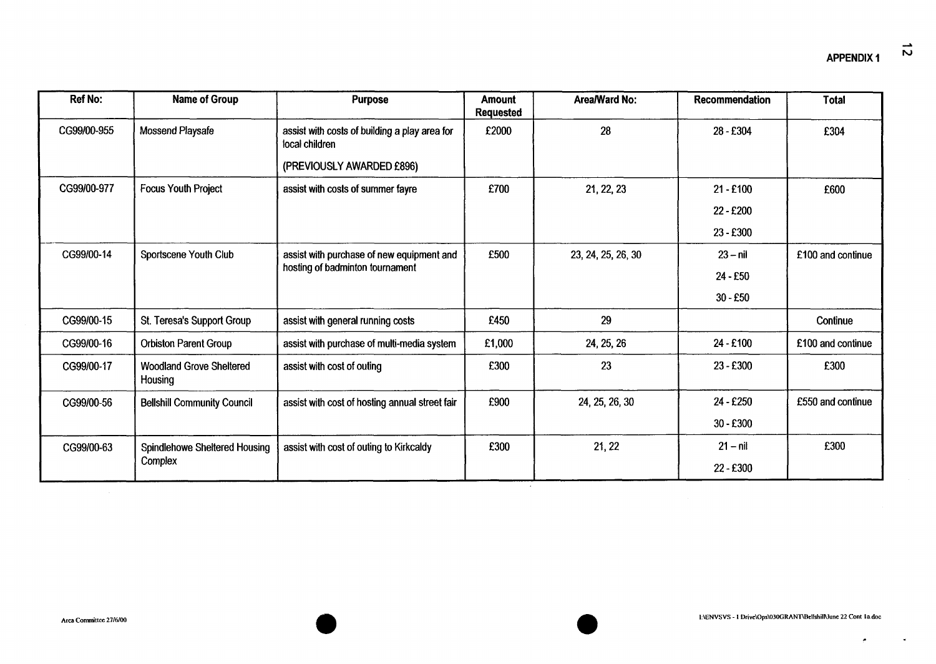$\mathbf{x}$